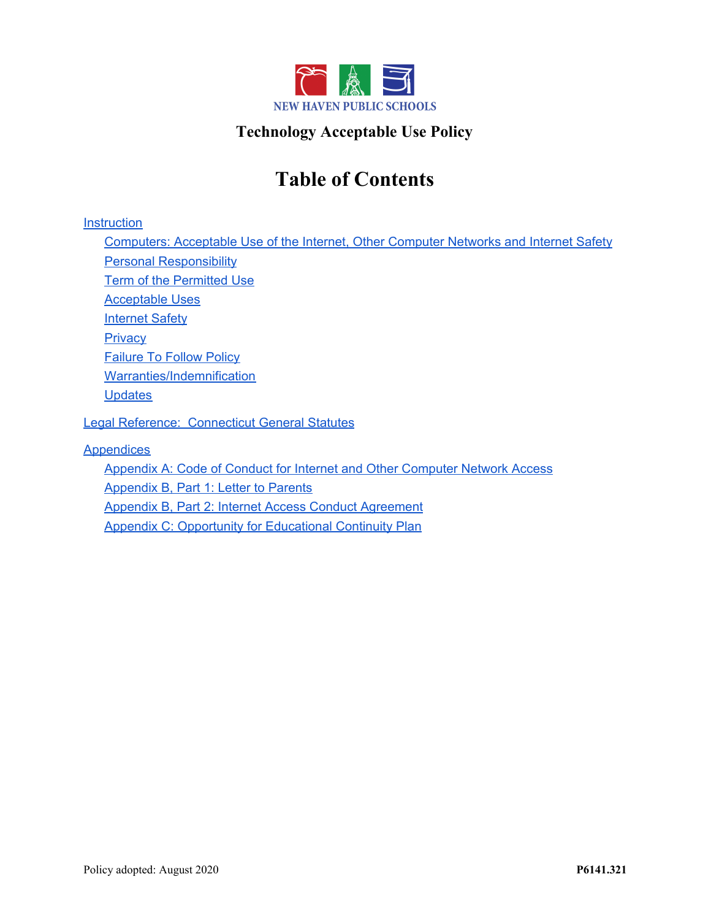

# **Technology Acceptable Use Policy**

# **Table of Contents**

**[Instruction](#page-1-0)** 

[Computers: Acceptable Use of the Internet, Other Computer Networks and Internet Safety](#page-1-1) [Personal Responsibility](#page-1-2) [Term of the Permitted Use](#page-2-0) [Acceptable Uses](#page-2-1) [Internet Safety](#page-3-0) **[Privacy](#page-4-0)** [Failure To Follow Policy](#page-5-0) [Warranties/Indemnification](#page-5-1) **[Updates](#page-5-2)** 

[Legal Reference: Connecticut General Statutes](#page-6-0)

**[Appendices](#page-7-0)** 

[Appendix A: Code of Conduct for Internet and Other Computer Network Access](#page-7-1) [Appendix B, Part 1: Letter to Parents](#page-9-0) [Appendix B, Part 2: Internet Access Conduct Agreement](#page-10-0) **[Appendix C: Opportunity for Educational Continuity Plan](#page-11-0)**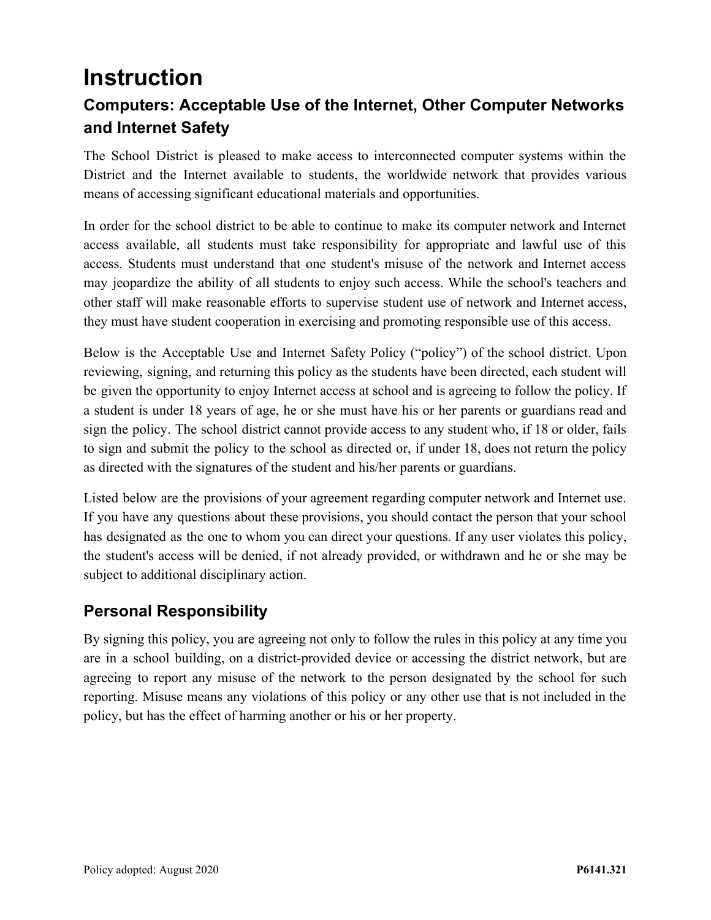# <span id="page-1-0"></span>**Instruction**

# <span id="page-1-1"></span>**Computers: Acceptable Use of the Internet, Other Computer Networks and Internet Safety**

The School District is pleased to make access to interconnected computer systems within the District and the Internet available to students, the worldwide network that provides various means of accessing significant educational materials and opportunities.

In order for the school district to be able to continue to make its computer network and Internet access available, all students must take responsibility for appropriate and lawful use of this access. Students must understand that one student's misuse of the network and Internet access may jeopardize the ability of all students to enjoy such access. While the school's teachers and other staff will make reasonable efforts to supervise student use of network and Internet access, they must have student cooperation in exercising and promoting responsible use of this access.

Below is the Acceptable Use and Internet Safety Policy ("policy") of the school district. Upon reviewing, signing, and returning this policy as the students have been directed, each student will be given the opportunity to enjoy Internet access at school and is agreeing to follow the policy. If a student is under 18 years of age, he or she must have his or her parents or guardians read and sign the policy. The school district cannot provide access to any student who, if 18 or older, fails to sign and submit the policy to the school as directed or, if under 18, does not return the policy as directed with the signatures of the student and his/her parents or guardians.

Listed below are the provisions of your agreement regarding computer network and Internet use. If you have any questions about these provisions, you should contact the person that your school has designated as the one to whom you can direct your questions. If any user violates this policy, the student's access will be denied, if not already provided, or withdrawn and he or she may be subject to additional disciplinary action.

# <span id="page-1-2"></span>**Personal Responsibility**

By signing this policy, you are agreeing not only to follow the rules in this policy at any time you are in a school building, on a district-provided device or accessing the district network, but are agreeing to report any misuse of the network to the person designated by the school for such reporting. Misuse means any violations of this policy or any other use that is not included in the policy, but has the effect of harming another or his or her property.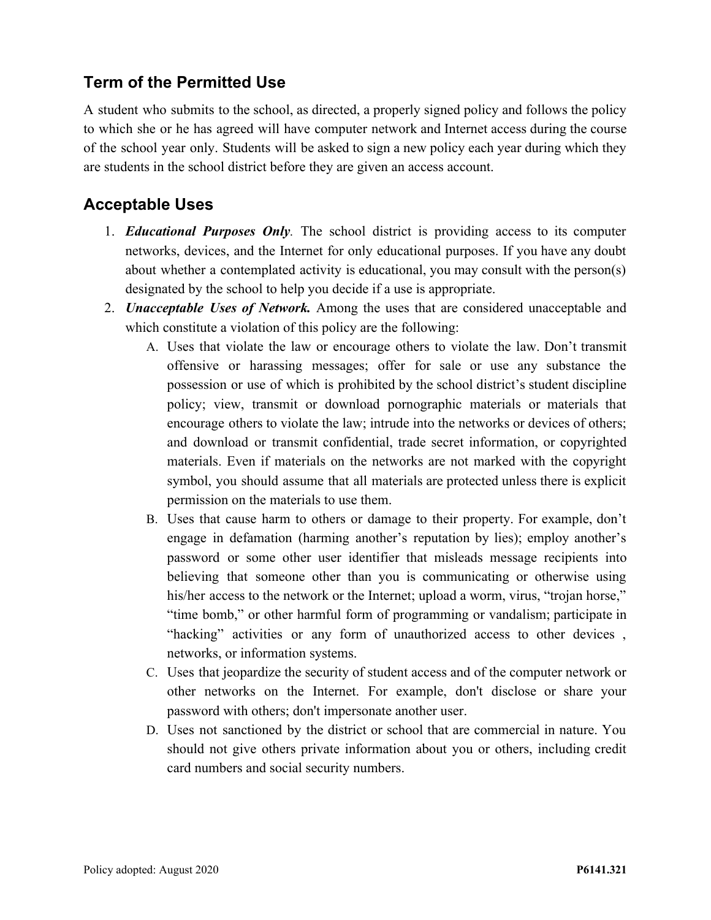# <span id="page-2-0"></span>**Term of the Permitted Use**

A student who submits to the school, as directed, a properly signed policy and follows the policy to which she or he has agreed will have computer network and Internet access during the course of the school year only. Students will be asked to sign a new policy each year during which they are students in the school district before they are given an access account.

#### <span id="page-2-1"></span>**Acceptable Uses**

- 1. *Educational Purposes Only.* The school district is providing access to its computer networks, devices, and the Internet for only educational purposes. If you have any doubt about whether a contemplated activity is educational, you may consult with the person(s) designated by the school to help you decide if a use is appropriate.
- 2. *Unacceptable Uses of Network.* Among the uses that are considered unacceptable and which constitute a violation of this policy are the following:
	- A. Uses that violate the law or encourage others to violate the law. Don't transmit offensive or harassing messages; offer for sale or use any substance the possession or use of which is prohibited by the school district's student discipline policy; view, transmit or download pornographic materials or materials that encourage others to violate the law; intrude into the networks or devices of others; and download or transmit confidential, trade secret information, or copyrighted materials. Even if materials on the networks are not marked with the copyright symbol, you should assume that all materials are protected unless there is explicit permission on the materials to use them.
	- B. Uses that cause harm to others or damage to their property. For example, don't engage in defamation (harming another's reputation by lies); employ another's password or some other user identifier that misleads message recipients into believing that someone other than you is communicating or otherwise using his/her access to the network or the Internet; upload a worm, virus, "trojan horse," "time bomb," or other harmful form of programming or vandalism; participate in "hacking" activities or any form of unauthorized access to other devices , networks, or information systems.
	- C. Uses that jeopardize the security of student access and of the computer network or other networks on the Internet. For example, don't disclose or share your password with others; don't impersonate another user.
	- D. Uses not sanctioned by the district or school that are commercial in nature. You should not give others private information about you or others, including credit card numbers and social security numbers.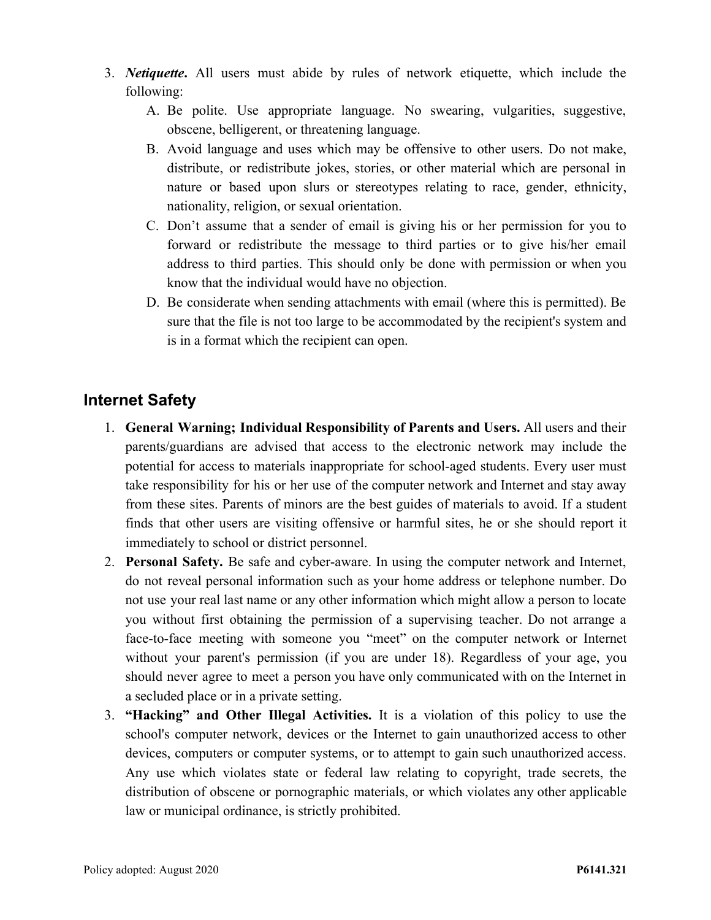- 3. *Netiquette***.** All users must abide by rules of network etiquette, which include the following:
	- A. Be polite. Use appropriate language. No swearing, vulgarities, suggestive, obscene, belligerent, or threatening language.
	- B. Avoid language and uses which may be offensive to other users. Do not make, distribute, or redistribute jokes, stories, or other material which are personal in nature or based upon slurs or stereotypes relating to race, gender, ethnicity, nationality, religion, or sexual orientation.
	- C. Don't assume that a sender of email is giving his or her permission for you to forward or redistribute the message to third parties or to give his/her email address to third parties. This should only be done with permission or when you know that the individual would have no objection.
	- D. Be considerate when sending attachments with email (where this is permitted). Be sure that the file is not too large to be accommodated by the recipient's system and is in a format which the recipient can open.

### <span id="page-3-0"></span>**Internet Safety**

- 1. **General Warning; Individual Responsibility of Parents and Users.** All users and their parents/guardians are advised that access to the electronic network may include the potential for access to materials inappropriate for school-aged students. Every user must take responsibility for his or her use of the computer network and Internet and stay away from these sites. Parents of minors are the best guides of materials to avoid. If a student finds that other users are visiting offensive or harmful sites, he or she should report it immediately to school or district personnel.
- 2. **Personal Safety.** Be safe and cyber-aware. In using the computer network and Internet, do not reveal personal information such as your home address or telephone number. Do not use your real last name or any other information which might allow a person to locate you without first obtaining the permission of a supervising teacher. Do not arrange a face-to-face meeting with someone you "meet" on the computer network or Internet without your parent's permission (if you are under 18). Regardless of your age, you should never agree to meet a person you have only communicated with on the Internet in a secluded place or in a private setting.
- 3. **"Hacking" and Other Illegal Activities.** It is a violation of this policy to use the school's computer network, devices or the Internet to gain unauthorized access to other devices, computers or computer systems, or to attempt to gain such unauthorized access. Any use which violates state or federal law relating to copyright, trade secrets, the distribution of obscene or pornographic materials, or which violates any other applicable law or municipal ordinance, is strictly prohibited.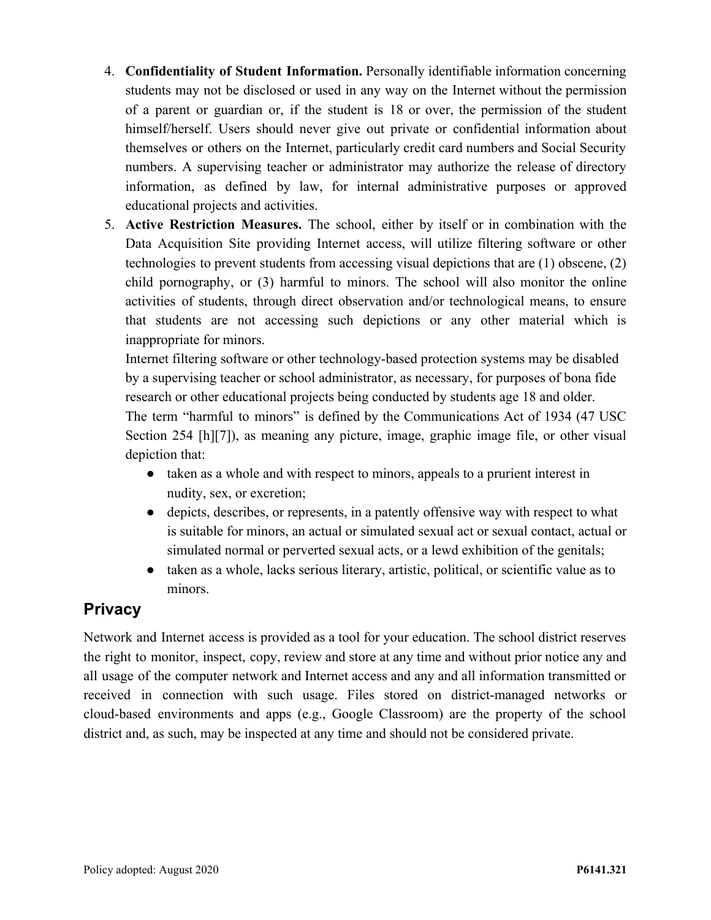- 4. **Confidentiality of Student Information.** Personally identifiable information concerning students may not be disclosed or used in any way on the Internet without the permission of a parent or guardian or, if the student is 18 or over, the permission of the student himself/herself. Users should never give out private or confidential information about themselves or others on the Internet, particularly credit card numbers and Social Security numbers. A supervising teacher or administrator may authorize the release of directory information, as defined by law, for internal administrative purposes or approved educational projects and activities.
- 5. **Active Restriction Measures.** The school, either by itself or in combination with the Data Acquisition Site providing Internet access, will utilize filtering software or other technologies to prevent students from accessing visual depictions that are (1) obscene, (2) child pornography, or (3) harmful to minors. The school will also monitor the online activities of students, through direct observation and/or technological means, to ensure that students are not accessing such depictions or any other material which is inappropriate for minors.

Internet filtering software or other technology-based protection systems may be disabled by a supervising teacher or school administrator, as necessary, for purposes of bona fide research or other educational projects being conducted by students age 18 and older. The term "harmful to minors" is defined by the Communications Act of 1934 (47 USC Section 254 [h][7]), as meaning any picture, image, graphic image file, or other visual depiction that:

- taken as a whole and with respect to minors, appeals to a prurient interest in nudity, sex, or excretion;
- depicts, describes, or represents, in a patently offensive way with respect to what is suitable for minors, an actual or simulated sexual act or sexual contact, actual or simulated normal or perverted sexual acts, or a lewd exhibition of the genitals;
- taken as a whole, lacks serious literary, artistic, political, or scientific value as to minors.

# <span id="page-4-0"></span>**Privacy**

Network and Internet access is provided as a tool for your education. The school district reserves the right to monitor, inspect, copy, review and store at any time and without prior notice any and all usage of the computer network and Internet access and any and all information transmitted or received in connection with such usage. Files stored on district-managed networks or cloud-based environments and apps (e.g., Google Classroom) are the property of the school district and, as such, may be inspected at any time and should not be considered private.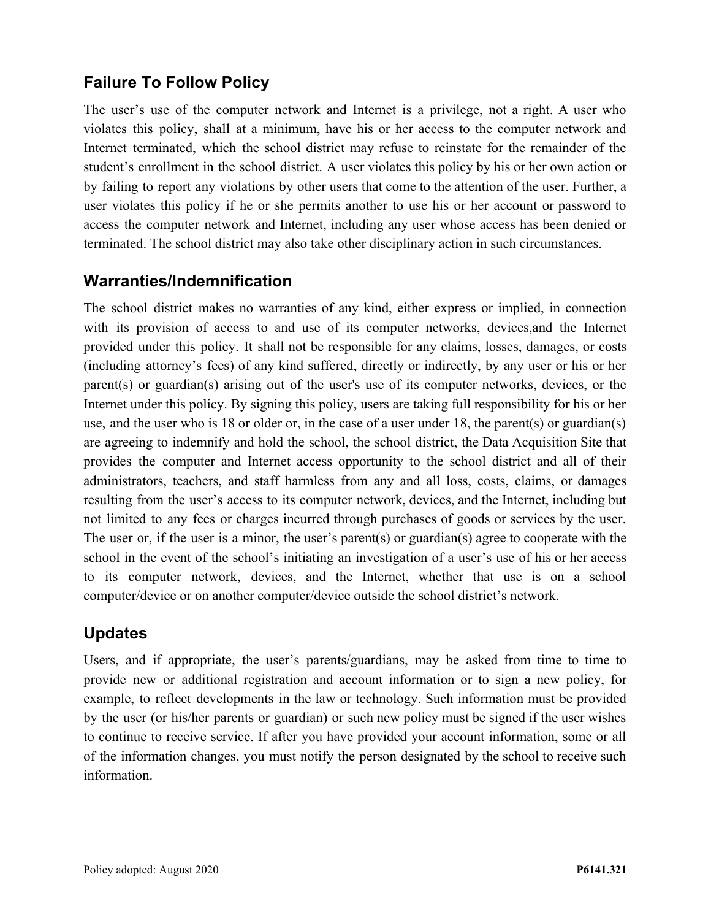# <span id="page-5-0"></span>**Failure To Follow Policy**

The user's use of the computer network and Internet is a privilege, not a right. A user who violates this policy, shall at a minimum, have his or her access to the computer network and Internet terminated, which the school district may refuse to reinstate for the remainder of the student's enrollment in the school district. A user violates this policy by his or her own action or by failing to report any violations by other users that come to the attention of the user. Further, a user violates this policy if he or she permits another to use his or her account or password to access the computer network and Internet, including any user whose access has been denied or terminated. The school district may also take other disciplinary action in such circumstances.

#### <span id="page-5-1"></span>**Warranties/Indemnification**

The school district makes no warranties of any kind, either express or implied, in connection with its provision of access to and use of its computer networks, devices,and the Internet provided under this policy. It shall not be responsible for any claims, losses, damages, or costs (including attorney's fees) of any kind suffered, directly or indirectly, by any user or his or her parent(s) or guardian(s) arising out of the user's use of its computer networks, devices, or the Internet under this policy. By signing this policy, users are taking full responsibility for his or her use, and the user who is 18 or older or, in the case of a user under 18, the parent(s) or guardian(s) are agreeing to indemnify and hold the school, the school district, the Data Acquisition Site that provides the computer and Internet access opportunity to the school district and all of their administrators, teachers, and staff harmless from any and all loss, costs, claims, or damages resulting from the user's access to its computer network, devices, and the Internet, including but not limited to any fees or charges incurred through purchases of goods or services by the user. The user or, if the user is a minor, the user's parent(s) or guardian(s) agree to cooperate with the school in the event of the school's initiating an investigation of a user's use of his or her access to its computer network, devices, and the Internet, whether that use is on a school computer/device or on another computer/device outside the school district's network.

### <span id="page-5-2"></span>**Updates**

Users, and if appropriate, the user's parents/guardians, may be asked from time to time to provide new or additional registration and account information or to sign a new policy, for example, to reflect developments in the law or technology. Such information must be provided by the user (or his/her parents or guardian) or such new policy must be signed if the user wishes to continue to receive service. If after you have provided your account information, some or all of the information changes, you must notify the person designated by the school to receive such information.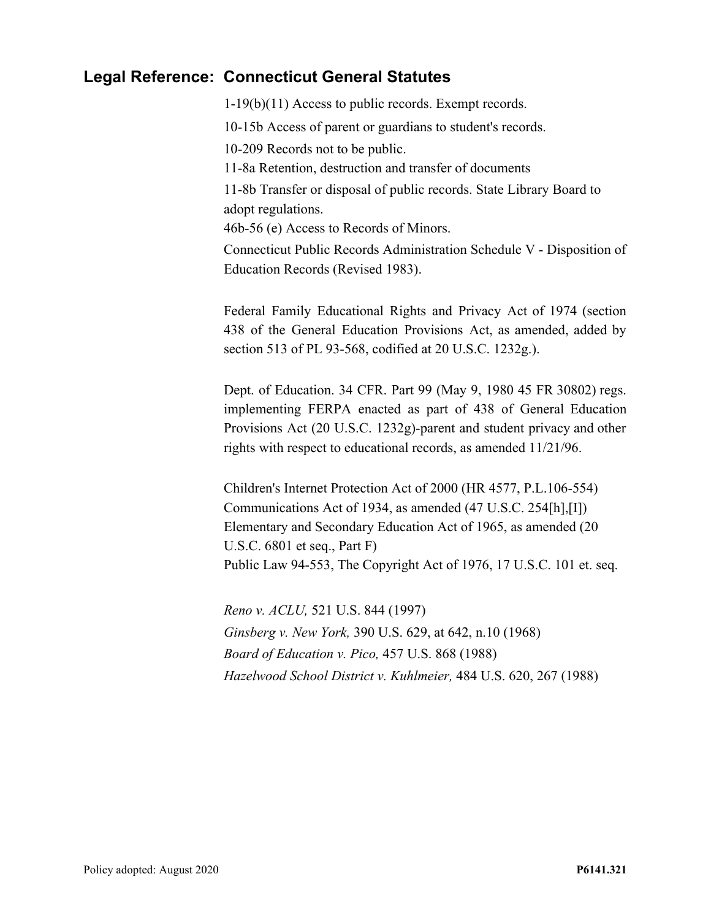#### <span id="page-6-0"></span>**Legal Reference: Connecticut General Statutes**

1-19(b)(11) Access to public records. Exempt records.

10-15b Access of parent or guardians to student's records.

10-209 Records not to be public.

11-8a Retention, destruction and transfer of documents

11-8b Transfer or disposal of public records. State Library Board to adopt regulations.

46b-56 (e) Access to Records of Minors.

Connecticut Public Records Administration Schedule V - Disposition of Education Records (Revised 1983).

Federal Family Educational Rights and Privacy Act of 1974 (section 438 of the General Education Provisions Act, as amended, added by section 513 of PL 93-568, codified at 20 U.S.C. 1232g.).

Dept. of Education. 34 CFR. Part 99 (May 9, 1980 45 FR 30802) regs. implementing FERPA enacted as part of 438 of General Education Provisions Act (20 U.S.C. 1232g)-parent and student privacy and other rights with respect to educational records, as amended 11/21/96.

Children's Internet Protection Act of 2000 (HR 4577, P.L.106-554) Communications Act of 1934, as amended (47 U.S.C. 254[h],[I]) Elementary and Secondary Education Act of 1965, as amended (20 U.S.C. 6801 et seq., Part F) Public Law 94-553, The Copyright Act of 1976, 17 U.S.C. 101 et. seq.

*Reno v. ACLU,* 521 U.S. 844 (1997) *Ginsberg v. New York,* 390 U.S. 629, at 642, n.10 (1968) *Board of Education v. Pico,* 457 U.S. 868 (1988) *Hazelwood School District v. Kuhlmeier,* 484 U.S. 620, 267 (1988)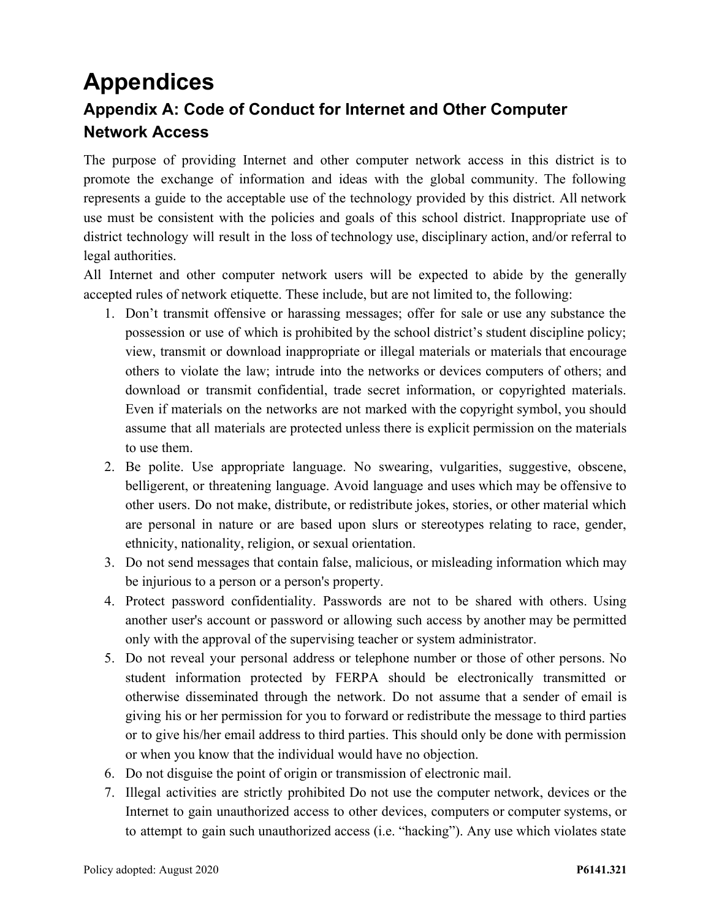# <span id="page-7-1"></span><span id="page-7-0"></span>**Appendices Appendix A: Code of Conduct for Internet and Other Computer Network Access**

The purpose of providing Internet and other computer network access in this district is to promote the exchange of information and ideas with the global community. The following represents a guide to the acceptable use of the technology provided by this district. All network use must be consistent with the policies and goals of this school district. Inappropriate use of district technology will result in the loss of technology use, disciplinary action, and/or referral to legal authorities.

All Internet and other computer network users will be expected to abide by the generally accepted rules of network etiquette. These include, but are not limited to, the following:

- 1. Don't transmit offensive or harassing messages; offer for sale or use any substance the possession or use of which is prohibited by the school district's student discipline policy; view, transmit or download inappropriate or illegal materials or materials that encourage others to violate the law; intrude into the networks or devices computers of others; and download or transmit confidential, trade secret information, or copyrighted materials. Even if materials on the networks are not marked with the copyright symbol, you should assume that all materials are protected unless there is explicit permission on the materials to use them.
- 2. Be polite. Use appropriate language. No swearing, vulgarities, suggestive, obscene, belligerent, or threatening language. Avoid language and uses which may be offensive to other users. Do not make, distribute, or redistribute jokes, stories, or other material which are personal in nature or are based upon slurs or stereotypes relating to race, gender, ethnicity, nationality, religion, or sexual orientation.
- 3. Do not send messages that contain false, malicious, or misleading information which may be injurious to a person or a person's property.
- 4. Protect password confidentiality. Passwords are not to be shared with others. Using another user's account or password or allowing such access by another may be permitted only with the approval of the supervising teacher or system administrator.
- 5. Do not reveal your personal address or telephone number or those of other persons. No student information protected by FERPA should be electronically transmitted or otherwise disseminated through the network. Do not assume that a sender of email is giving his or her permission for you to forward or redistribute the message to third parties or to give his/her email address to third parties. This should only be done with permission or when you know that the individual would have no objection.
- 6. Do not disguise the point of origin or transmission of electronic mail.
- 7. Illegal activities are strictly prohibited Do not use the computer network, devices or the Internet to gain unauthorized access to other devices, computers or computer systems, or to attempt to gain such unauthorized access (i.e. "hacking"). Any use which violates state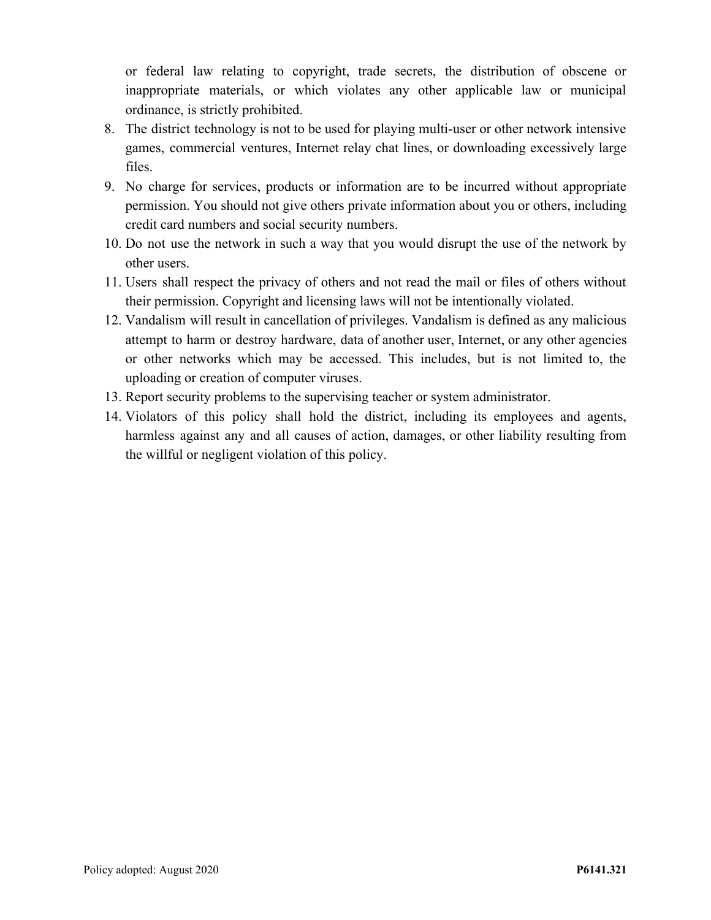or federal law relating to copyright, trade secrets, the distribution of obscene or inappropriate materials, or which violates any other applicable law or municipal ordinance, is strictly prohibited.

- 8. The district technology is not to be used for playing multi-user or other network intensive games, commercial ventures, Internet relay chat lines, or downloading excessively large files.
- 9. No charge for services, products or information are to be incurred without appropriate permission. You should not give others private information about you or others, including credit card numbers and social security numbers.
- 10. Do not use the network in such a way that you would disrupt the use of the network by other users.
- 11. Users shall respect the privacy of others and not read the mail or files of others without their permission. Copyright and licensing laws will not be intentionally violated.
- 12. Vandalism will result in cancellation of privileges. Vandalism is defined as any malicious attempt to harm or destroy hardware, data of another user, Internet, or any other agencies or other networks which may be accessed. This includes, but is not limited to, the uploading or creation of computer viruses.
- 13. Report security problems to the supervising teacher or system administrator.
- 14. Violators of this policy shall hold the district, including its employees and agents, harmless against any and all causes of action, damages, or other liability resulting from the willful or negligent violation of this policy.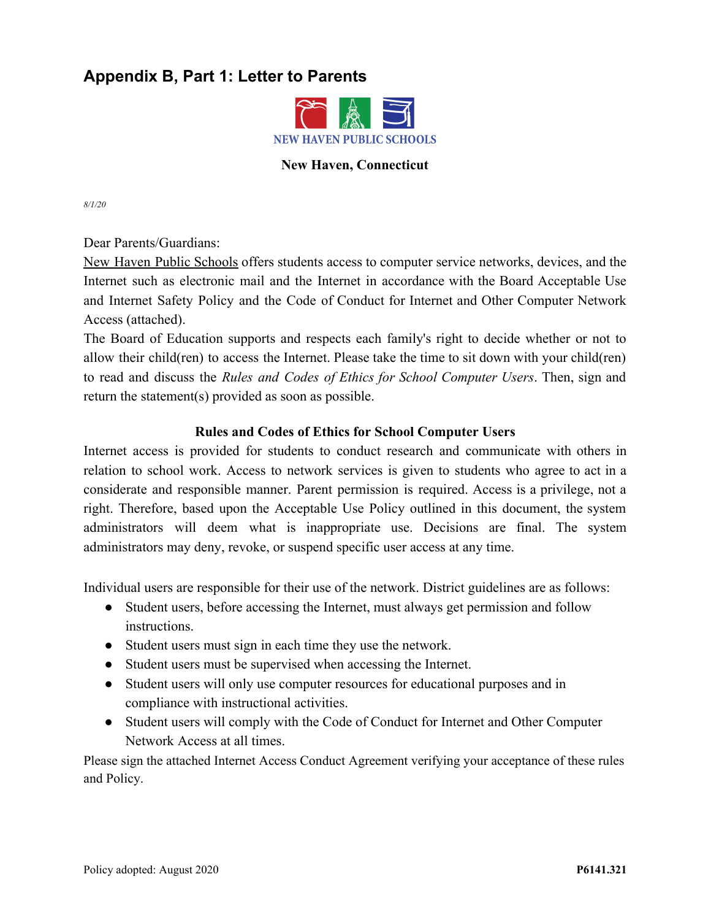# <span id="page-9-0"></span>**Appendix B, Part 1: Letter to Parents**



#### **New Haven, Connecticut**

*8/1/20*

Dear Parents/Guardians:

New Haven Public Schools offers students access to computer service networks, devices, and the Internet such as electronic mail and the Internet in accordance with the Board Acceptable Use and Internet Safety Policy and the Code of Conduct for Internet and Other Computer Network Access (attached).

The Board of Education supports and respects each family's right to decide whether or not to allow their child(ren) to access the Internet. Please take the time to sit down with your child(ren) to read and discuss the *Rules and Codes of Ethics for School Computer Users*. Then, sign and return the statement(s) provided as soon as possible.

#### **Rules and Codes of Ethics for School Computer Users**

Internet access is provided for students to conduct research and communicate with others in relation to school work. Access to network services is given to students who agree to act in a considerate and responsible manner. Parent permission is required. Access is a privilege, not a right. Therefore, based upon the Acceptable Use Policy outlined in this document, the system administrators will deem what is inappropriate use. Decisions are final. The system administrators may deny, revoke, or suspend specific user access at any time.

Individual users are responsible for their use of the network. District guidelines are as follows:

- Student users, before accessing the Internet, must always get permission and follow instructions.
- Student users must sign in each time they use the network.
- Student users must be supervised when accessing the Internet.
- Student users will only use computer resources for educational purposes and in compliance with instructional activities.
- Student users will comply with the Code of Conduct for Internet and Other Computer Network Access at all times.

Please sign the attached Internet Access Conduct Agreement verifying your acceptance of these rules and Policy.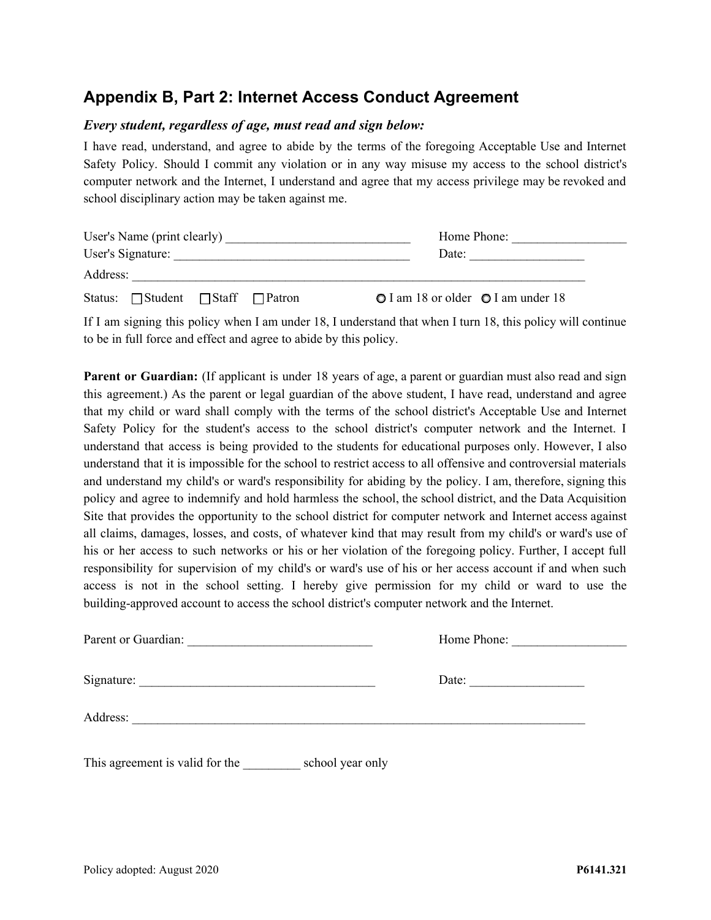### <span id="page-10-0"></span>**Appendix B, Part 2: Internet Access Conduct Agreement**

#### *Every student, regardless of age, must read and sign below:*

I have read, understand, and agree to abide by the terms of the foregoing Acceptable Use and Internet Safety Policy. Should I commit any violation or in any way misuse my access to the school district's computer network and the Internet, I understand and agree that my access privilege may be revoked and school disciplinary action may be taken against me.

| User's Name (print clearly) |                                                   |  |  |  | Home Phone:                        |  |
|-----------------------------|---------------------------------------------------|--|--|--|------------------------------------|--|
| User's Signature:           |                                                   |  |  |  | Date:                              |  |
| Address:                    |                                                   |  |  |  |                                    |  |
|                             | Status: $\Box$ Student $\Box$ Staff $\Box$ Patron |  |  |  | O I am 18 or older O I am under 18 |  |

If I am signing this policy when I am under 18, I understand that when I turn 18, this policy will continue to be in full force and effect and agree to abide by this policy.

**Parent or Guardian:** (If applicant is under 18 years of age, a parent or guardian must also read and sign this agreement.) As the parent or legal guardian of the above student, I have read, understand and agree that my child or ward shall comply with the terms of the school district's Acceptable Use and Internet Safety Policy for the student's access to the school district's computer network and the Internet. I understand that access is being provided to the students for educational purposes only. However, I also understand that it is impossible for the school to restrict access to all offensive and controversial materials and understand my child's or ward's responsibility for abiding by the policy. I am, therefore, signing this policy and agree to indemnify and hold harmless the school, the school district, and the Data Acquisition Site that provides the opportunity to the school district for computer network and Internet access against all claims, damages, losses, and costs, of whatever kind that may result from my child's or ward's use of his or her access to such networks or his or her violation of the foregoing policy. Further, I accept full responsibility for supervision of my child's or ward's use of his or her access account if and when such access is not in the school setting. I hereby give permission for my child or ward to use the building-approved account to access the school district's computer network and the Internet.

| Parent or Guardian:                                 | Home Phone:           |  |
|-----------------------------------------------------|-----------------------|--|
|                                                     | Date: $\qquad \qquad$ |  |
| Address:                                            |                       |  |
| This agreement is valid for the<br>school year only |                       |  |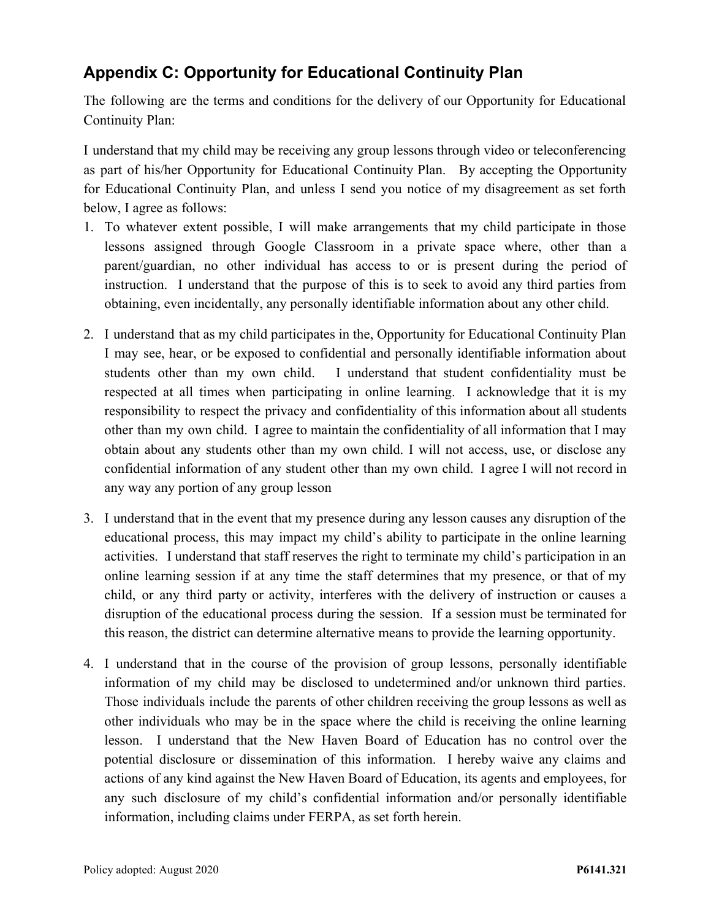# <span id="page-11-0"></span>**Appendix C: Opportunity for Educational Continuity Plan**

The following are the terms and conditions for the delivery of our Opportunity for Educational Continuity Plan:

I understand that my child may be receiving any group lessons through video or teleconferencing as part of his/her Opportunity for Educational Continuity Plan. By accepting the Opportunity for Educational Continuity Plan, and unless I send you notice of my disagreement as set forth below, I agree as follows:

- 1. To whatever extent possible, I will make arrangements that my child participate in those lessons assigned through Google Classroom in a private space where, other than a parent/guardian, no other individual has access to or is present during the period of instruction. I understand that the purpose of this is to seek to avoid any third parties from obtaining, even incidentally, any personally identifiable information about any other child.
- 2. I understand that as my child participates in the, Opportunity for Educational Continuity Plan I may see, hear, or be exposed to confidential and personally identifiable information about students other than my own child. I understand that student confidentiality must be respected at all times when participating in online learning. I acknowledge that it is my responsibility to respect the privacy and confidentiality of this information about all students other than my own child. I agree to maintain the confidentiality of all information that I may obtain about any students other than my own child. I will not access, use, or disclose any confidential information of any student other than my own child. I agree I will not record in any way any portion of any group lesson
- 3. I understand that in the event that my presence during any lesson causes any disruption of the educational process, this may impact my child's ability to participate in the online learning activities. I understand that staff reserves the right to terminate my child's participation in an online learning session if at any time the staff determines that my presence, or that of my child, or any third party or activity, interferes with the delivery of instruction or causes a disruption of the educational process during the session. If a session must be terminated for this reason, the district can determine alternative means to provide the learning opportunity.
- 4. I understand that in the course of the provision of group lessons, personally identifiable information of my child may be disclosed to undetermined and/or unknown third parties. Those individuals include the parents of other children receiving the group lessons as well as other individuals who may be in the space where the child is receiving the online learning lesson. I understand that the New Haven Board of Education has no control over the potential disclosure or dissemination of this information. I hereby waive any claims and actions of any kind against the New Haven Board of Education, its agents and employees, for any such disclosure of my child's confidential information and/or personally identifiable information, including claims under FERPA, as set forth herein.